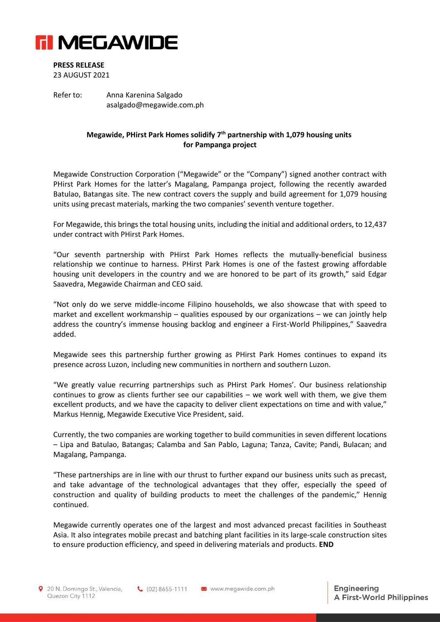

## **PRESS RELEASE**

23 AUGUST 2021

Refer to: Anna Karenina Salgado asalgado@megawide.com.ph

## **Megawide, PHirst Park Homes solidify 7 th partnership with 1,079 housing units for Pampanga project**

Megawide Construction Corporation ("Megawide" or the "Company") signed another contract with PHirst Park Homes for the latter's Magalang, Pampanga project, following the recently awarded Batulao, Batangas site. The new contract covers the supply and build agreement for 1,079 housing units using precast materials, marking the two companies' seventh venture together.

For Megawide, this brings the total housing units, including the initial and additional orders, to 12,437 under contract with PHirst Park Homes.

"Our seventh partnership with PHirst Park Homes reflects the mutually-beneficial business relationship we continue to harness. PHirst Park Homes is one of the fastest growing affordable housing unit developers in the country and we are honored to be part of its growth," said Edgar Saavedra, Megawide Chairman and CEO said.

"Not only do we serve middle-income Filipino households, we also showcase that with speed to market and excellent workmanship – qualities espoused by our organizations – we can jointly help address the country's immense housing backlog and engineer a First-World Philippines," Saavedra added.

Megawide sees this partnership further growing as PHirst Park Homes continues to expand its presence across Luzon, including new communities in northern and southern Luzon.

"We greatly value recurring partnerships such as PHirst Park Homes'. Our business relationship continues to grow as clients further see our capabilities – we work well with them, we give them excellent products, and we have the capacity to deliver client expectations on time and with value," Markus Hennig, Megawide Executive Vice President, said.

Currently, the two companies are working together to build communities in seven different locations – Lipa and Batulao, Batangas; Calamba and San Pablo, Laguna; Tanza, Cavite; Pandi, Bulacan; and Magalang, Pampanga.

"These partnerships are in line with our thrust to further expand our business units such as precast, and take advantage of the technological advantages that they offer, especially the speed of construction and quality of building products to meet the challenges of the pandemic," Hennig continued.

Megawide currently operates one of the largest and most advanced precast facilities in Southeast Asia. It also integrates mobile precast and batching plant facilities in its large-scale construction sites to ensure production efficiency, and speed in delivering materials and products. **END**

(02) 8655-1111 M www.megawide.com.ph